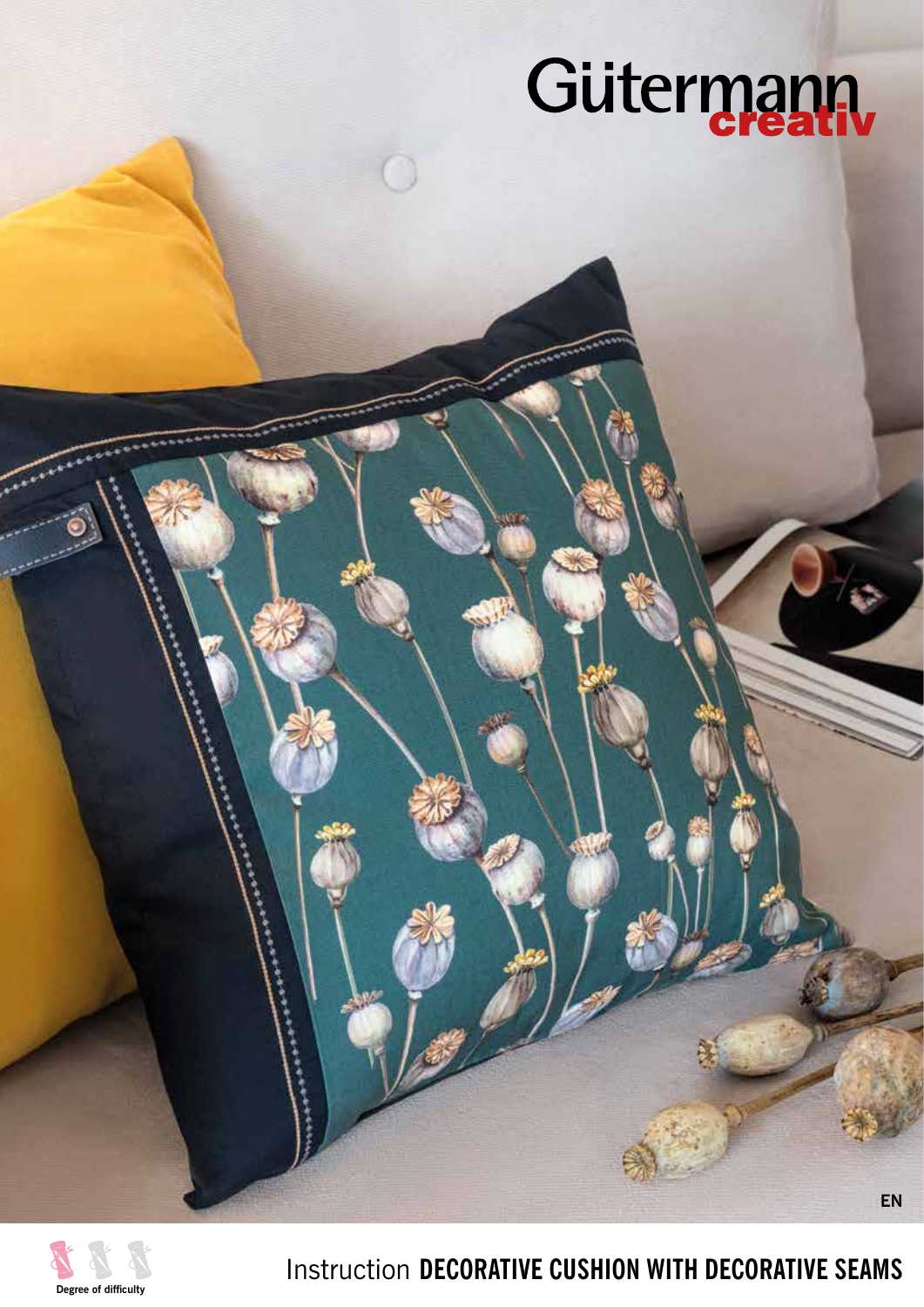# Gütermann



Instruction **DECORATIVE CUSHION WITH DECORATIVE SEAMS**

**EN**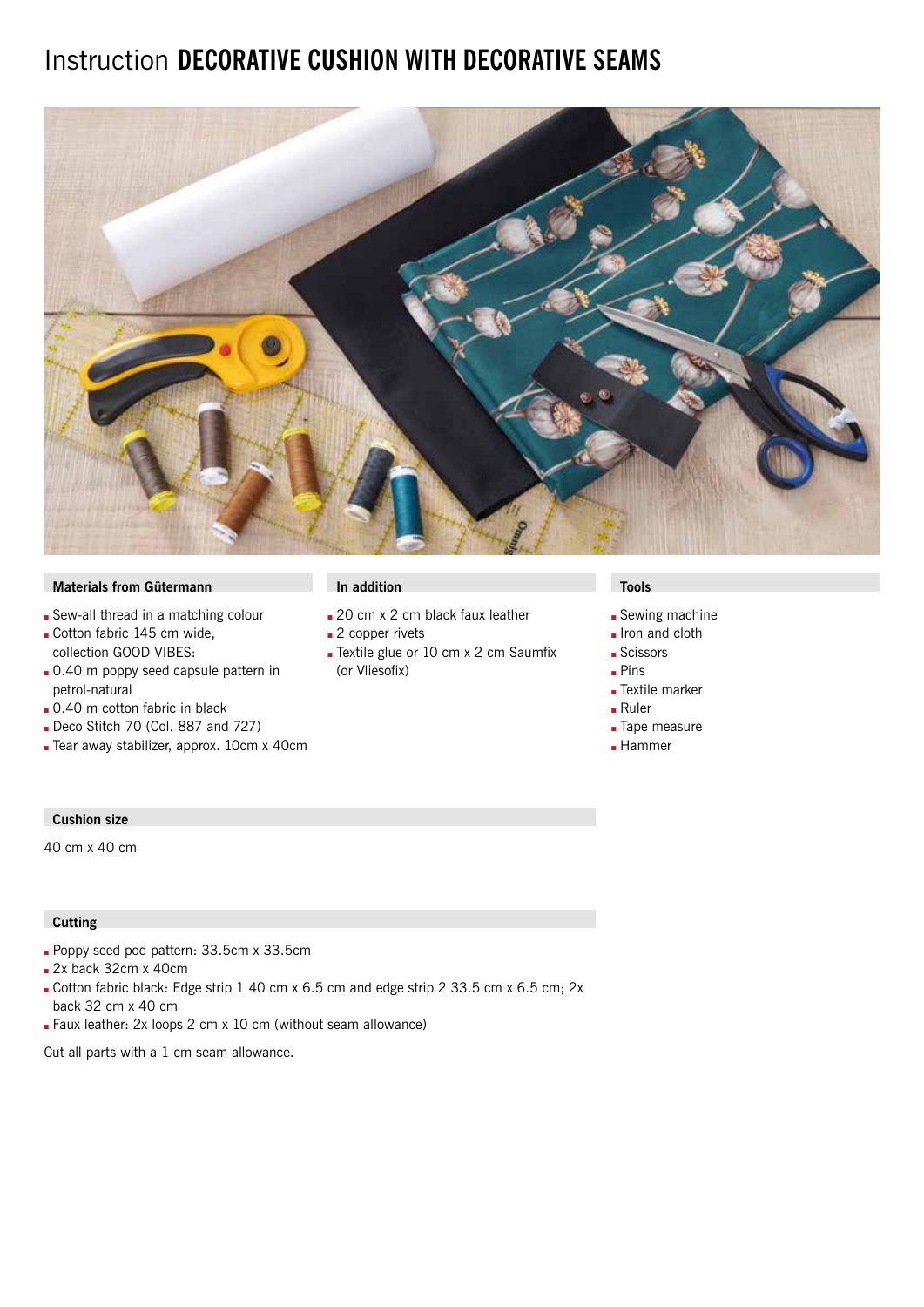## Instruction **DECORATIVE CUSHION WITH DECORATIVE SEAMS**



## **Materials from Gütermann In addition In addition In addition In addition In a large View In a large View In a large View In a large View In a large View In a large View In a large View In a large View In a large View In a**

- Sew-all thread in a matching colour
- Gotton fabric 145 cm wide, collection GOOD VIBES:
- **.** 0.40 m poppy seed capsule pattern in petrol-natural
- $\Box$  0.40 m cotton fabric in black
- Deco Stitch 70 (Col. 887 and  $727$ )
- Gear away stabilizer, approx. 10cm x 40cm

- 20 cm x 2 cm black faux leather
- $\blacksquare$  2 copper rivets
- Textile glue or 10 cm x 2 cm Saumfix (or Vliesofix)

- **Sewing machine**
- Iron and cloth
- **Scissors**
- $Pins$
- **Textile marker**
- $Ruler$
- **Tape measure**
- $\blacksquare$  Hammer

## **Cushion size**

40 cm x 40 cm

### **Cutting**

- Poppy seed pod pattern: 33.5cm x 33.5cm
- $2x$  back 32cm x 40cm
- Cotton fabric black: Edge strip 1 40 cm x 6.5 cm and edge strip 2 33.5 cm x 6.5 cm; 2x back 32 cm x 40 cm
- **Faux leather: 2x loops 2 cm x 10 cm (without seam allowance)**

Cut all parts with a 1 cm seam allowance.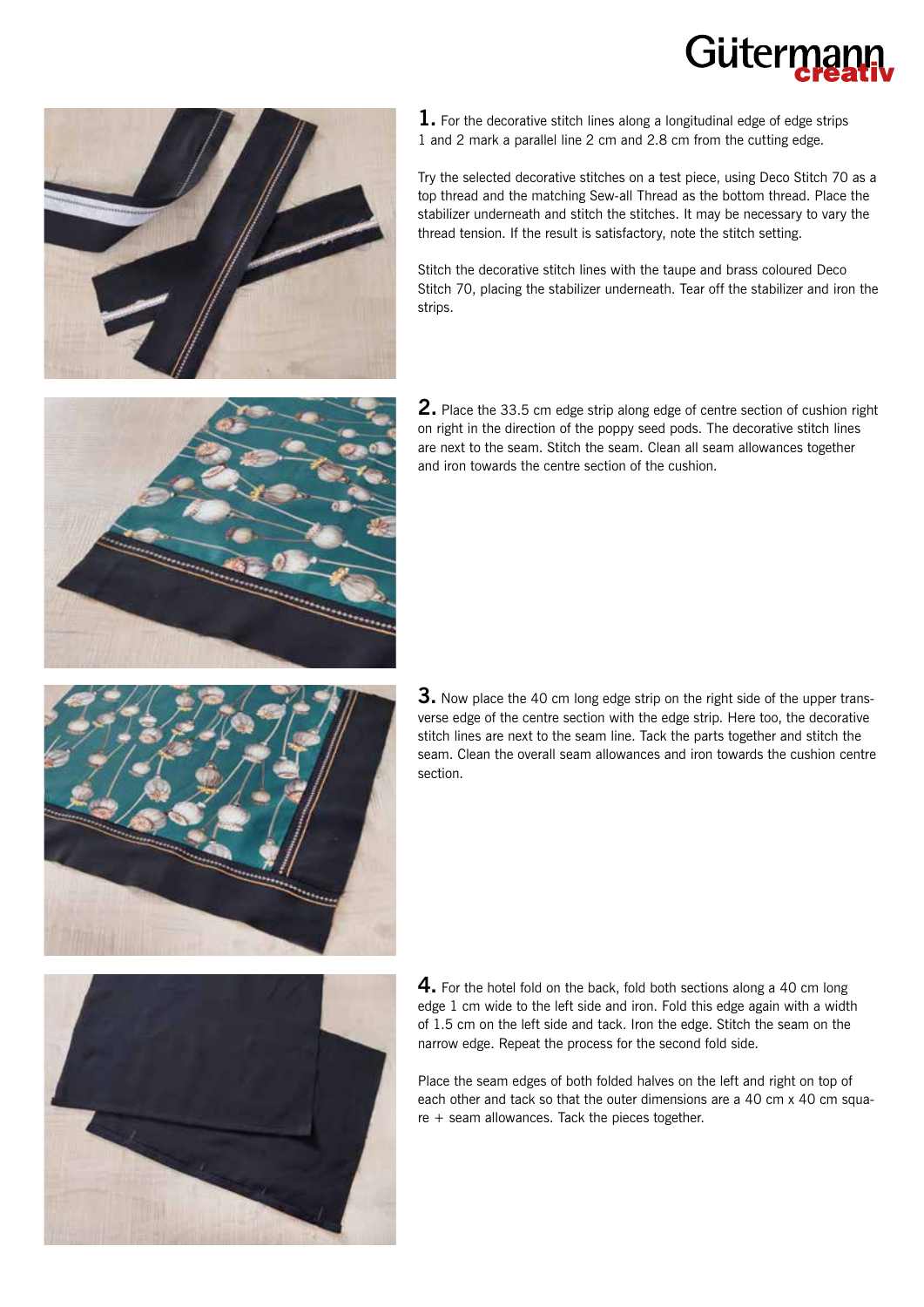



**1.** For the decorative stitch lines along a longitudinal edge of edge strips 1 and 2 mark a parallel line 2 cm and 2.8 cm from the cutting edge.

Try the selected decorative stitches on a test piece, using Deco Stitch 70 as a top thread and the matching Sew-all Thread as the bottom thread. Place the stabilizer underneath and stitch the stitches. It may be necessary to vary the thread tension. If the result is satisfactory, note the stitch setting.

Stitch the decorative stitch lines with the taupe and brass coloured Deco Stitch 70, placing the stabilizer underneath. Tear off the stabilizer and iron the strips.



**2.** Place the 33.5 cm edge strip along edge of centre section of cushion right on right in the direction of the poppy seed pods. The decorative stitch lines are next to the seam. Stitch the seam. Clean all seam allowances together and iron towards the centre section of the cushion.



**3.** Now place the 40 cm long edge strip on the right side of the upper transverse edge of the centre section with the edge strip. Here too, the decorative stitch lines are next to the seam line. Tack the parts together and stitch the seam. Clean the overall seam allowances and iron towards the cushion centre section.



**4.** For the hotel fold on the back, fold both sections along a 40 cm long edge 1 cm wide to the left side and iron. Fold this edge again with a width of 1.5 cm on the left side and tack. Iron the edge. Stitch the seam on the narrow edge. Repeat the process for the second fold side.

Place the seam edges of both folded halves on the left and right on top of each other and tack so that the outer dimensions are a 40 cm x 40 cm square + seam allowances. Tack the pieces together.